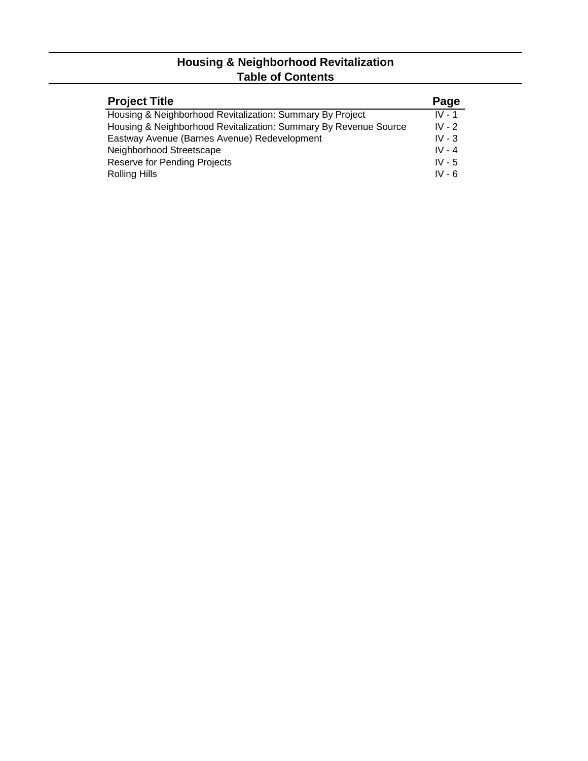#### **Housing & Neighborhood Revitalization Table of Contents**

| <b>Project Title</b>                                             | Page     |
|------------------------------------------------------------------|----------|
| Housing & Neighborhood Revitalization: Summary By Project        | $IV - 1$ |
| Housing & Neighborhood Revitalization: Summary By Revenue Source | $IV - 2$ |
| Eastway Avenue (Barnes Avenue) Redevelopment                     | IV - $3$ |
| Neighborhood Streetscape                                         | $IV - 4$ |
| Reserve for Pending Projects                                     | $IV - 5$ |
| <b>Rolling Hills</b>                                             | $IV - 6$ |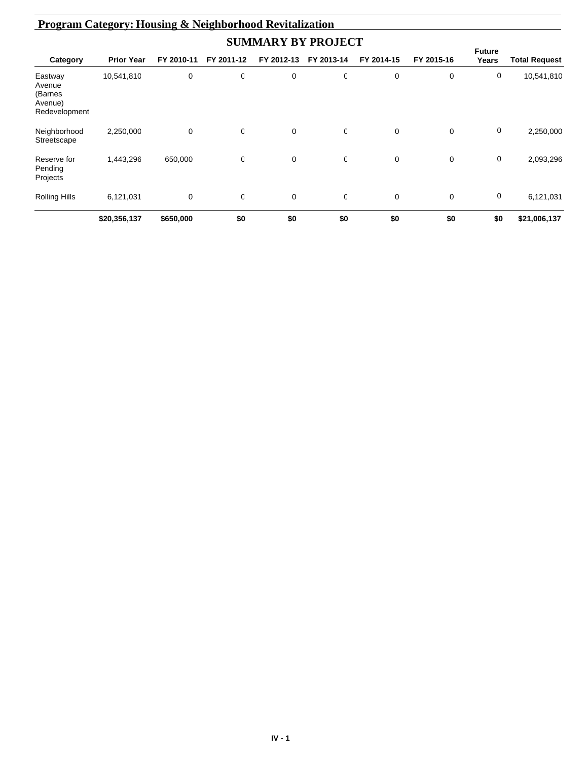| <b>Program Category: Housing &amp; Neighborhood Revitalization</b> |                   |            |            |             |            |            |            |                        |                      |  |  |
|--------------------------------------------------------------------|-------------------|------------|------------|-------------|------------|------------|------------|------------------------|----------------------|--|--|
| <b>SUMMARY BY PROJECT</b>                                          |                   |            |            |             |            |            |            |                        |                      |  |  |
| Category                                                           | <b>Prior Year</b> | FY 2010-11 | FY 2011-12 | FY 2012-13  | FY 2013-14 | FY 2014-15 | FY 2015-16 | <b>Future</b><br>Years | <b>Total Request</b> |  |  |
| Eastway<br>Avenue<br>(Barnes<br>Avenue)<br>Redevelopment           | 10,541,810        | 0          | O          | 0           | 0          | 0          | 0          | 0                      | 10,541,810           |  |  |
| Neighborhood<br>Streetscape                                        | 2,250,000         | 0          | O          | $\mathbf 0$ | 0          | 0          | $\Omega$   | 0                      | 2,250,000            |  |  |
| Reserve for<br>Pending<br>Projects                                 | 1,443,296         | 650,000    | O          | 0           | 0          | 0          | 0          | 0                      | 2,093,296            |  |  |
| Rolling Hills                                                      | 6,121,031         | 0          | 0          | 0           | 0          | 0          | 0          | 0                      | 6,121,031            |  |  |
|                                                                    | \$20,356,137      | \$650,000  | \$0        | \$0         | \$0        | \$0        | \$0        | \$0                    | \$21,006,137         |  |  |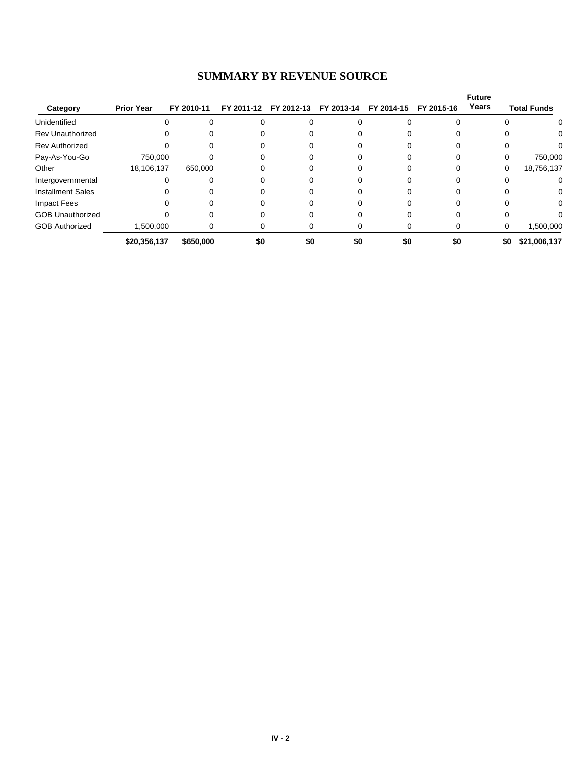# **SUMMARY BY REVENUE SOURCE**

| Category                 | <b>Prior Year</b> | FY 2010-11 | FY 2011-12 | FY 2012-13 | FY 2013-14 | FY 2014-15 | FY 2015-16 | <b>Future</b><br>Years | <b>Total Funds</b> |
|--------------------------|-------------------|------------|------------|------------|------------|------------|------------|------------------------|--------------------|
|                          |                   |            |            |            |            |            |            |                        |                    |
| Unidentified             |                   |            |            |            |            |            |            |                        | 0                  |
| <b>Rev Unauthorized</b>  |                   |            |            |            |            |            |            |                        | 0.                 |
| <b>Rev Authorized</b>    |                   |            |            |            |            |            |            |                        |                    |
| Pay-As-You-Go            | 750,000           |            |            |            |            |            |            |                        | 750,000            |
| Other                    | 18,106,137        | 650,000    |            |            |            |            |            | 0                      | 18,756,137         |
| Intergovernmental        | 0                 |            |            |            |            |            | 0          |                        | 0                  |
| <b>Installment Sales</b> |                   |            |            |            |            |            |            |                        | 0                  |
| Impact Fees              |                   |            |            |            |            |            |            |                        | 0                  |
| <b>GOB Unauthorized</b>  |                   |            |            |            |            |            |            |                        |                    |
| <b>GOB Authorized</b>    | 1,500,000         | 0          |            |            |            |            | 0          | 0                      | 1,500,000          |
|                          | \$20,356,137      | \$650,000  | \$0        | \$0        | \$0        | \$0        | \$0        | \$0                    | \$21,006,137       |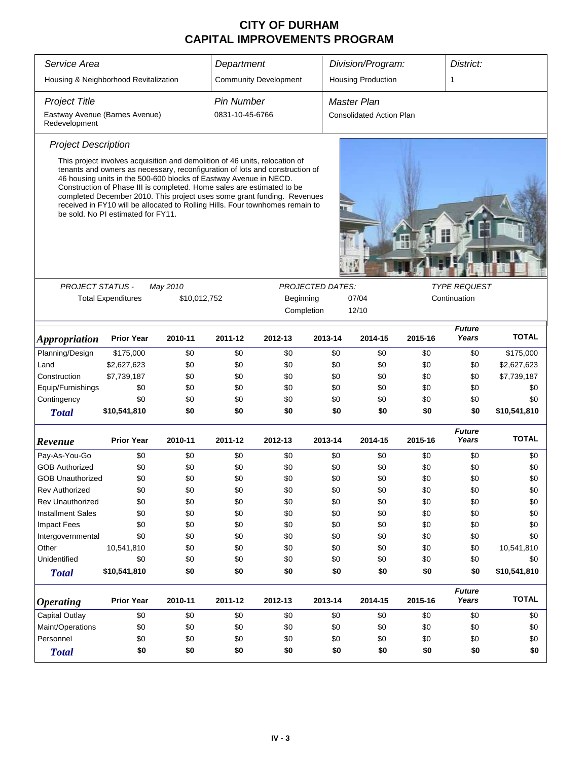| Service Area                                    | Department                                                                                                                                                                                                                                                                                                                                                                                                                                                                                                   |              |                   | Division/Program:            |                         | District:                       |         |                        |              |  |
|-------------------------------------------------|--------------------------------------------------------------------------------------------------------------------------------------------------------------------------------------------------------------------------------------------------------------------------------------------------------------------------------------------------------------------------------------------------------------------------------------------------------------------------------------------------------------|--------------|-------------------|------------------------------|-------------------------|---------------------------------|---------|------------------------|--------------|--|
| Housing & Neighborhood Revitalization           |                                                                                                                                                                                                                                                                                                                                                                                                                                                                                                              |              |                   | <b>Community Development</b> |                         | <b>Housing Production</b>       |         | 1                      |              |  |
| <b>Project Title</b>                            |                                                                                                                                                                                                                                                                                                                                                                                                                                                                                                              |              | <b>Pin Number</b> |                              |                         | <b>Master Plan</b>              |         |                        |              |  |
| Eastway Avenue (Barnes Avenue)<br>Redevelopment |                                                                                                                                                                                                                                                                                                                                                                                                                                                                                                              |              | 0831-10-45-6766   |                              |                         | <b>Consolidated Action Plan</b> |         |                        |              |  |
| <b>Project Description</b>                      |                                                                                                                                                                                                                                                                                                                                                                                                                                                                                                              |              |                   |                              |                         |                                 |         |                        |              |  |
|                                                 | This project involves acquisition and demolition of 46 units, relocation of<br>tenants and owners as necessary, reconfiguration of lots and construction of<br>46 housing units in the 500-600 blocks of Eastway Avenue in NECD.<br>Construction of Phase III is completed. Home sales are estimated to be<br>completed December 2010. This project uses some grant funding. Revenues<br>received in FY10 will be allocated to Rolling Hills. Four townhomes remain to<br>be sold. No PI estimated for FY11. |              |                   |                              |                         |                                 |         |                        |              |  |
| PROJECT STATUS -                                |                                                                                                                                                                                                                                                                                                                                                                                                                                                                                                              | May 2010     |                   |                              | <b>PROJECTED DATES:</b> |                                 |         | <b>TYPE REQUEST</b>    |              |  |
|                                                 | <b>Total Expenditures</b>                                                                                                                                                                                                                                                                                                                                                                                                                                                                                    | \$10,012,752 |                   | Beginning                    |                         | 07/04                           |         | Continuation           |              |  |
|                                                 |                                                                                                                                                                                                                                                                                                                                                                                                                                                                                                              |              |                   | Completion                   |                         | 12/10                           |         |                        |              |  |
| <i><b>Appropriation</b></i>                     | <b>Prior Year</b>                                                                                                                                                                                                                                                                                                                                                                                                                                                                                            | 2010-11      | 2011-12           | 2012-13                      | 2013-14                 | 2014-15                         | 2015-16 | <b>Future</b><br>Years | <b>TOTAL</b> |  |
| Planning/Design                                 | \$175,000                                                                                                                                                                                                                                                                                                                                                                                                                                                                                                    | \$0          | \$0               | \$0                          | \$0                     | \$0                             | \$0     | \$0                    | \$175,000    |  |
| Land                                            | \$2,627,623                                                                                                                                                                                                                                                                                                                                                                                                                                                                                                  | \$0          | \$0               | \$0                          | \$0                     | \$0                             | \$0     | \$0                    | \$2,627,623  |  |
| Construction                                    | \$7,739,187                                                                                                                                                                                                                                                                                                                                                                                                                                                                                                  | \$0          | \$0               | \$0                          | \$0                     | \$0                             | \$0     | \$0                    | \$7,739,187  |  |
| Equip/Furnishings                               | \$0                                                                                                                                                                                                                                                                                                                                                                                                                                                                                                          | \$0          | \$0               | \$0                          | \$0                     | \$0                             | \$0     | \$0                    | \$0          |  |
| Contingency                                     | \$0                                                                                                                                                                                                                                                                                                                                                                                                                                                                                                          | \$0          | \$0               | \$0                          | \$0                     | \$0                             | \$0     | \$0                    | \$0          |  |
| <b>Total</b>                                    | \$10,541,810                                                                                                                                                                                                                                                                                                                                                                                                                                                                                                 | \$0          | \$0               | \$0                          | \$0                     | \$0                             | \$0     | \$0                    | \$10,541,810 |  |
| Revenue                                         | <b>Prior Year</b>                                                                                                                                                                                                                                                                                                                                                                                                                                                                                            | 2010-11      | 2011-12           | 2012-13                      | 2013-14                 | 2014-15                         | 2015-16 | <b>Future</b><br>Years | <b>TOTAL</b> |  |
| Pay-As-You-Go                                   | \$0                                                                                                                                                                                                                                                                                                                                                                                                                                                                                                          | \$0          | \$0               | \$0                          | \$0                     | \$0                             | \$0     | \$0                    | \$0          |  |
| <b>GOB Authorized</b>                           | \$0                                                                                                                                                                                                                                                                                                                                                                                                                                                                                                          | \$0          | \$0               | \$0                          | \$0                     | \$0                             | \$0     | \$0                    | \$0          |  |
| <b>GOB Unauthorized</b>                         | \$0                                                                                                                                                                                                                                                                                                                                                                                                                                                                                                          | \$0          | \$0               | \$0                          | \$0                     | \$0                             | \$0     | \$0                    | \$0          |  |
| <b>Rev Authorized</b>                           | \$0                                                                                                                                                                                                                                                                                                                                                                                                                                                                                                          | \$0          | \$0               | \$0                          | \$0                     | \$0                             | \$0     | \$0                    | \$0          |  |
| Rev Unauthorized                                | \$0                                                                                                                                                                                                                                                                                                                                                                                                                                                                                                          | \$0          | \$0               | \$0                          | \$0                     | \$0                             | \$0     | \$0                    | \$0          |  |
| <b>Installment Sales</b>                        | \$0                                                                                                                                                                                                                                                                                                                                                                                                                                                                                                          | \$0          | \$0               | \$0                          | \$0                     | \$0                             | \$0     | \$0                    | \$0          |  |
| <b>Impact Fees</b>                              | \$0                                                                                                                                                                                                                                                                                                                                                                                                                                                                                                          | \$0          | \$0               | \$0                          | \$0                     | \$0                             | \$0     | \$0                    | \$0          |  |
| Intergovernmental                               | \$0                                                                                                                                                                                                                                                                                                                                                                                                                                                                                                          | \$0          | \$0               | \$0                          | \$0                     | \$0                             | \$0     | \$0                    | \$0          |  |
| Other                                           | 10,541,810                                                                                                                                                                                                                                                                                                                                                                                                                                                                                                   | \$0          | \$0               | \$0                          | \$0                     | \$0                             | \$0     | \$0                    | 10,541,810   |  |
| Unidentified                                    | \$0                                                                                                                                                                                                                                                                                                                                                                                                                                                                                                          | \$0          | \$0               | \$0                          | \$0                     | \$0                             | \$0     | \$0                    | \$0          |  |
| <b>Total</b>                                    | \$10,541,810                                                                                                                                                                                                                                                                                                                                                                                                                                                                                                 | \$0          | \$0               | \$0                          | \$0                     | \$0                             | \$0     | \$0                    | \$10,541,810 |  |
| <b>Operating</b>                                | <b>Prior Year</b>                                                                                                                                                                                                                                                                                                                                                                                                                                                                                            | 2010-11      | 2011-12           | 2012-13                      | 2013-14                 | 2014-15                         | 2015-16 | <b>Future</b><br>Years | <b>TOTAL</b> |  |
| Capital Outlay                                  | \$0                                                                                                                                                                                                                                                                                                                                                                                                                                                                                                          | \$0          | \$0               | \$0                          | \$0                     | \$0                             | \$0     | \$0                    | \$0          |  |
| Maint/Operations                                | \$0                                                                                                                                                                                                                                                                                                                                                                                                                                                                                                          | \$0          | \$0               | \$0                          | \$0                     | \$0                             | \$0     | \$0                    | \$0          |  |
| Personnel                                       | \$0                                                                                                                                                                                                                                                                                                                                                                                                                                                                                                          | \$0          | \$0               | \$0                          | \$0                     | \$0                             | \$0     | \$0                    | \$0          |  |
| <b>Total</b>                                    | \$0                                                                                                                                                                                                                                                                                                                                                                                                                                                                                                          | \$0          | \$0               | \$0                          | \$0                     | \$0                             | \$0     | \$0                    | \$0          |  |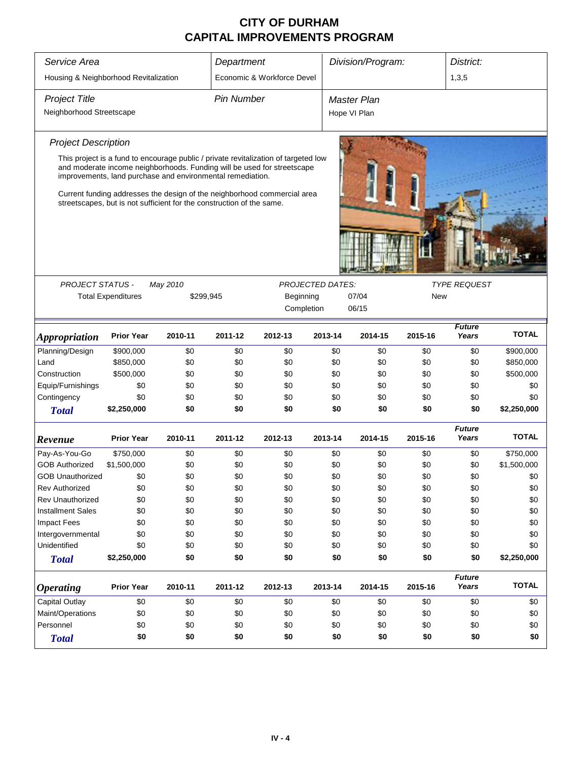| Service Area                          |                           |                                                                                                                                       | Department        |                            |                         | Division/Program:  |            | District:              |                        |
|---------------------------------------|---------------------------|---------------------------------------------------------------------------------------------------------------------------------------|-------------------|----------------------------|-------------------------|--------------------|------------|------------------------|------------------------|
| Housing & Neighborhood Revitalization |                           |                                                                                                                                       |                   | Economic & Workforce Devel |                         |                    |            | 1,3,5                  |                        |
| <b>Project Title</b>                  |                           |                                                                                                                                       | <b>Pin Number</b> |                            |                         | <b>Master Plan</b> |            |                        |                        |
| Neighborhood Streetscape              |                           |                                                                                                                                       |                   |                            |                         |                    |            |                        |                        |
|                                       |                           |                                                                                                                                       |                   |                            |                         | Hope VI Plan       |            |                        |                        |
| <b>Project Description</b>            |                           |                                                                                                                                       |                   |                            |                         |                    |            |                        |                        |
|                                       |                           | This project is a fund to encourage public / private revitalization of targeted low                                                   |                   |                            |                         |                    |            |                        |                        |
|                                       |                           | and moderate income neighborhoods. Funding will be used for streetscape<br>improvements, land purchase and environmental remediation. |                   |                            |                         |                    |            |                        |                        |
|                                       |                           | Current funding addresses the design of the neighborhood commercial area                                                              |                   |                            |                         |                    |            |                        |                        |
|                                       |                           | streetscapes, but is not sufficient for the construction of the same.                                                                 |                   |                            |                         |                    |            |                        |                        |
|                                       |                           |                                                                                                                                       |                   |                            |                         |                    |            |                        |                        |
|                                       |                           |                                                                                                                                       |                   |                            |                         |                    |            |                        |                        |
|                                       |                           |                                                                                                                                       |                   |                            |                         |                    |            |                        |                        |
|                                       |                           |                                                                                                                                       |                   |                            |                         |                    |            |                        |                        |
| <b>PROJECT STATUS -</b>               |                           | May 2010                                                                                                                              |                   |                            | <b>PROJECTED DATES:</b> |                    |            | <b>TYPE REQUEST</b>    |                        |
|                                       | <b>Total Expenditures</b> | \$299,945                                                                                                                             |                   | Beginning                  |                         | 07/04              | <b>New</b> |                        |                        |
|                                       |                           |                                                                                                                                       |                   | Completion                 |                         | 06/15              |            |                        |                        |
|                                       | <b>Prior Year</b>         | 2010-11                                                                                                                               | 2011-12           | 2012-13                    | 2013-14                 | 2014-15            | 2015-16    | <b>Future</b><br>Years | <b>TOTAL</b>           |
| <b>Appropriation</b>                  |                           |                                                                                                                                       |                   |                            |                         |                    |            |                        |                        |
| Planning/Design                       | \$900,000                 | \$0                                                                                                                                   | \$0               | \$0                        | \$0                     | \$0                | \$0        | \$0                    | \$900,000              |
| Land<br>Construction                  | \$850,000<br>\$500,000    | \$0<br>\$0                                                                                                                            | \$0<br>\$0        | \$0<br>\$0                 | \$0<br>\$0              | \$0<br>\$0         | \$0<br>\$0 | \$0                    | \$850,000<br>\$500,000 |
| Equip/Furnishings                     | \$0                       | \$0                                                                                                                                   | \$0               | \$0                        | \$0                     | \$0                | \$0        | \$0<br>\$0             | \$0                    |
| Contingency                           | \$0                       | \$0                                                                                                                                   | \$0               | \$0                        | \$0                     | \$0                | \$0        | \$0                    | \$0                    |
| <b>Total</b>                          | \$2,250,000               | \$0                                                                                                                                   | \$0               | \$0                        | \$0                     | \$0                | \$0        | \$0                    | \$2,250,000            |
|                                       |                           |                                                                                                                                       |                   |                            |                         |                    |            | <b>Future</b>          |                        |
| Revenue                               | <b>Prior Year</b>         | 2010-11                                                                                                                               | 2011-12           | 2012-13                    | 2013-14                 | 2014-15            | 2015-16    | Years                  | <b>TOTAL</b>           |
| Pay-As-You-Go                         | \$750,000                 | \$0                                                                                                                                   | \$0               | \$0                        | \$0                     | \$0                | \$0        | \$0                    | \$750,000              |
| <b>GOB Authorized</b>                 | \$1,500,000               | \$0                                                                                                                                   | \$0               | \$0                        | \$0                     | \$0                | \$0        | \$0                    | \$1,500,000            |
| <b>GOB Unauthorized</b>               | \$0                       | \$0                                                                                                                                   | \$0               | \$0                        | \$0                     | \$0                | \$0        | \$0                    | \$0                    |
| <b>Rev Authorized</b>                 | \$0                       | \$0                                                                                                                                   | \$0               | \$0                        | \$0                     | \$0                | \$0        | \$0                    | \$0                    |
| <b>Rev Unauthorized</b>               | \$0                       | \$0                                                                                                                                   | \$0               | \$0                        | \$0                     | \$0                | \$0        | \$0                    | \$0                    |
| <b>Installment Sales</b>              | \$0                       | \$0                                                                                                                                   | \$0               | \$0                        | \$0                     | \$0                | \$0        | \$0                    | \$0                    |
| <b>Impact Fees</b>                    | \$0                       | \$0                                                                                                                                   | \$0               | \$0                        | \$0                     | \$0                | \$0        | \$0                    | \$0                    |
| Intergovernmental                     | \$0                       | \$0                                                                                                                                   | \$0               | \$0                        | \$0                     | \$0                | \$0        | \$0                    | \$0                    |
| Unidentified                          | \$0                       | \$0                                                                                                                                   | \$0               | \$0                        | \$0                     | \$0                | \$0        | \$0                    | \$0                    |
| <b>Total</b>                          | \$2,250,000               | \$0                                                                                                                                   | \$0               | \$0                        | \$0                     | \$0                | \$0        | \$0                    | \$2,250,000            |
|                                       | <b>Prior Year</b>         |                                                                                                                                       |                   |                            |                         |                    |            | <b>Future</b>          | <b>TOTAL</b>           |
| <b>Operating</b>                      |                           | 2010-11                                                                                                                               | 2011-12           | 2012-13                    | 2013-14                 | 2014-15            | 2015-16    | Years                  |                        |
| Capital Outlay                        | \$0                       | \$0                                                                                                                                   | \$0               | \$0                        | \$0                     | \$0                | \$0        | \$0                    | \$0                    |
| Maint/Operations                      | \$0                       | \$0                                                                                                                                   | \$0               | \$0                        | \$0                     | \$0                | \$0        | \$0                    | \$0                    |
| Personnel                             | \$0                       | \$0                                                                                                                                   | \$0               | \$0                        | \$0                     | \$0                | \$0        | \$0                    | \$0                    |
| <b>Total</b>                          | \$0                       | \$0                                                                                                                                   | \$0               | \$0                        | \$0                     | \$0                | \$0        | \$0                    | \$0                    |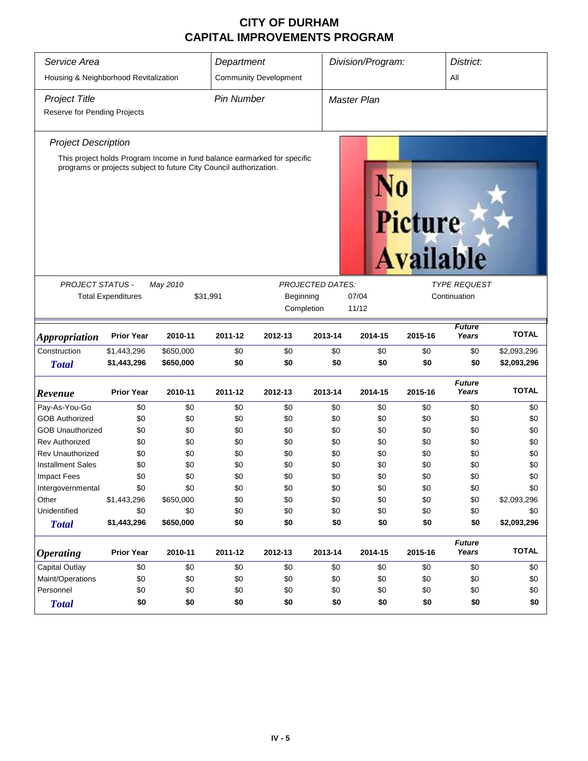| Service Area<br>Housing & Neighborhood Revitalization |                           |                                                                                                                                                | Department        | <b>Community Development</b> |                         | Division/Program:  |                             |                        |              |  |
|-------------------------------------------------------|---------------------------|------------------------------------------------------------------------------------------------------------------------------------------------|-------------------|------------------------------|-------------------------|--------------------|-----------------------------|------------------------|--------------|--|
| <b>Project Title</b><br>Reserve for Pending Projects  |                           |                                                                                                                                                | <b>Pin Number</b> |                              |                         | <b>Master Plan</b> |                             |                        |              |  |
| <b>Project Description</b>                            |                           |                                                                                                                                                |                   |                              |                         |                    |                             |                        |              |  |
|                                                       |                           | This project holds Program Income in fund balance earmarked for specific<br>programs or projects subject to future City Council authorization. |                   |                              |                         |                    | Picture<br><b>Available</b> |                        |              |  |
| <b>PROJECT STATUS -</b>                               |                           | May 2010                                                                                                                                       |                   |                              | <b>PROJECTED DATES:</b> |                    |                             | <b>TYPE REQUEST</b>    |              |  |
|                                                       | <b>Total Expenditures</b> | \$31,991                                                                                                                                       |                   | Beginning                    |                         | 07/04              |                             | Continuation           |              |  |
|                                                       |                           |                                                                                                                                                |                   |                              | Completion              | 11/12              |                             |                        |              |  |
| <i><b>Appropriation</b></i>                           | <b>Prior Year</b>         | 2010-11                                                                                                                                        | 2011-12           | 2012-13                      | 2013-14                 | 2014-15            | 2015-16                     | <b>Future</b><br>Years | <b>TOTAL</b> |  |
| Construction                                          | \$1,443,296               | \$650,000                                                                                                                                      | \$0               | \$0                          | \$0                     | \$0                | \$0                         | \$0                    | \$2,093,296  |  |
| <b>Total</b>                                          | \$1,443,296               | \$650,000                                                                                                                                      | \$0               | \$0                          | \$0                     | \$0                | \$0                         | \$0                    | \$2,093,296  |  |
| Revenue                                               | <b>Prior Year</b>         | 2010-11                                                                                                                                        | 2011-12           | 2012-13                      | 2013-14                 | 2014-15            | 2015-16                     | <b>Future</b><br>Years | <b>TOTAL</b> |  |
| Pay-As-You-Go                                         | \$0                       | \$0                                                                                                                                            | \$0               | \$0                          | \$0                     | \$0                | \$0                         | \$0                    | \$0          |  |
| <b>GOB Authorized</b>                                 | \$0                       | \$0                                                                                                                                            | \$0               | \$0                          | \$0                     | \$0                | \$0                         | \$0                    | \$0          |  |
| <b>GOB Unauthorized</b>                               | \$0                       | \$0                                                                                                                                            | \$0               | \$0                          | \$0                     | \$0                | \$0                         | \$0                    | \$0          |  |
| <b>Rev Authorized</b>                                 | \$0                       | \$0                                                                                                                                            | \$0               | \$0                          | \$0                     | \$0                | \$0                         | \$0                    | \$0          |  |
| <b>Rev Unauthorized</b>                               | \$0                       | \$0                                                                                                                                            | \$0               | \$0                          | \$0                     | \$0                | \$0                         | \$0                    | \$0          |  |
| <b>Installment Sales</b>                              | \$0                       | \$0<br>\$0                                                                                                                                     | \$0               | \$0                          | \$0                     | \$0                | \$0                         | \$0                    | \$0<br>\$0   |  |
| <b>Impact Fees</b><br>Intergovernmental               | \$0<br>\$0                | \$0                                                                                                                                            | \$0<br>\$0        | \$0<br>\$0                   | \$0<br>\$0              | \$0<br>\$0         | \$0<br>\$0                  | \$0<br>\$0             | \$0          |  |
| Other                                                 | \$1,443,296               | \$650,000                                                                                                                                      | \$0               | \$0                          | \$0                     | \$0                | \$0                         | \$0                    | \$2,093,296  |  |
| Unidentified                                          | \$0                       | \$0                                                                                                                                            | \$0               | \$0                          | \$0                     | \$0                | \$0                         | \$0                    | \$0          |  |
| <b>Total</b>                                          | \$1,443,296               | \$650,000                                                                                                                                      | \$0               | \$0                          | \$0                     | \$0                | \$0                         | \$0                    | \$2,093,296  |  |
| <i><b>Operating</b></i>                               | <b>Prior Year</b>         | 2010-11                                                                                                                                        | 2011-12           | 2012-13                      | 2013-14                 | 2014-15            | 2015-16                     | <b>Future</b><br>Years | <b>TOTAL</b> |  |
| Capital Outlay                                        | \$0                       | \$0                                                                                                                                            | \$0               | \$0                          | \$0                     | \$0                | \$0                         | \$0                    | \$0          |  |
| Maint/Operations                                      | \$0                       | \$0                                                                                                                                            | \$0               | \$0                          | \$0                     | \$0                | \$0                         | \$0                    | \$0          |  |
| Personnel                                             | \$0                       | \$0                                                                                                                                            | \$0               | \$0                          | \$0                     | \$0                | \$0                         | \$0                    | \$0          |  |
| <b>Total</b>                                          | \$0                       | \$0                                                                                                                                            | \$0               | \$0                          | \$0                     | \$0                | \$0                         | \$0                    | \$0          |  |